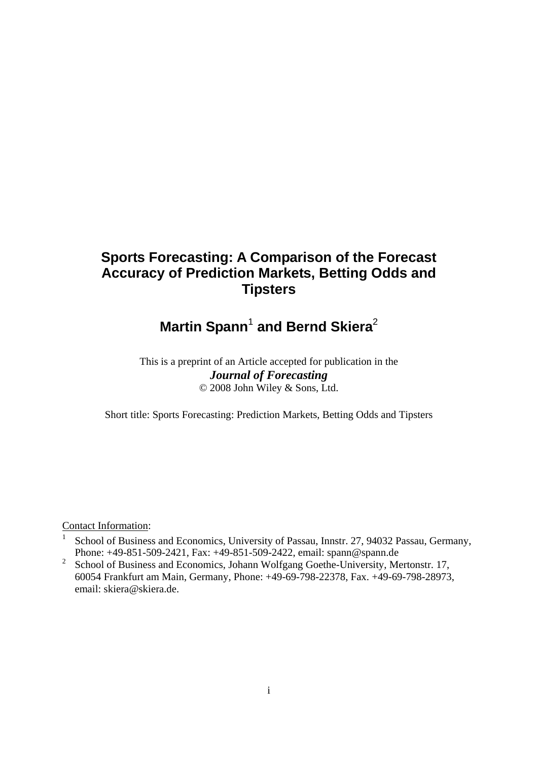# **Sports Forecasting: A Comparison of the Forecast Accuracy of Prediction Markets, Betting Odds and Tipsters**

# **Martin Spann<sup>1</sup> and Bernd Skiera<sup>2</sup>**

# This is a preprint of an Article accepted for publication in the *Journal of Forecasting* © 2008 John Wiley & Sons, Ltd.

Short title: Sports Forecasting: Prediction Markets, Betting Odds and Tipsters

Contact Information:

- 1 School of Business and Economics, University of Passau, Innstr. 27, 94032 Passau, Germany, Phone: +49-851-509-2421, Fax: +49-851-509-2422, email: spann@spann.de
- 2 School of Business and Economics, Johann Wolfgang Goethe-University, Mertonstr. 17, 60054 Frankfurt am Main, Germany, Phone: +49-69-798-22378, Fax. +49-69-798-28973, email: skiera@skiera.de.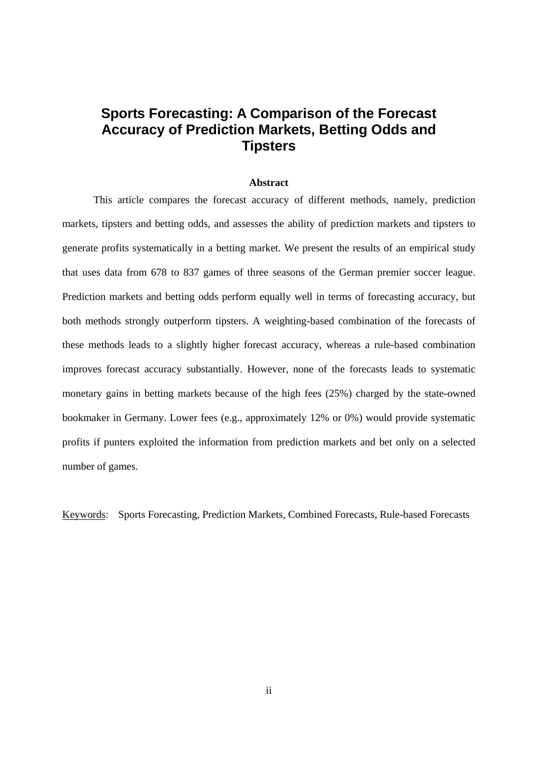# **Sports Forecasting: A Comparison of the Forecast Accuracy of Prediction Markets, Betting Odds and Tipsters**

#### **Abstract**

This article compares the forecast accuracy of different methods, namely, prediction markets, tipsters and betting odds, and assesses the ability of prediction markets and tipsters to generate profits systematically in a betting market. We present the results of an empirical study that uses data from 678 to 837 games of three seasons of the German premier soccer league. Prediction markets and betting odds perform equally well in terms of forecasting accuracy, but both methods strongly outperform tipsters. A weighting-based combination of the forecasts of these methods leads to a slightly higher forecast accuracy, whereas a rule-based combination improves forecast accuracy substantially. However, none of the forecasts leads to systematic monetary gains in betting markets because of the high fees (25%) charged by the state-owned bookmaker in Germany. Lower fees (e.g., approximately 12% or 0%) would provide systematic profits if punters exploited the information from prediction markets and bet only on a selected number of games.

Keywords: Sports Forecasting, Prediction Markets, Combined Forecasts, Rule-based Forecasts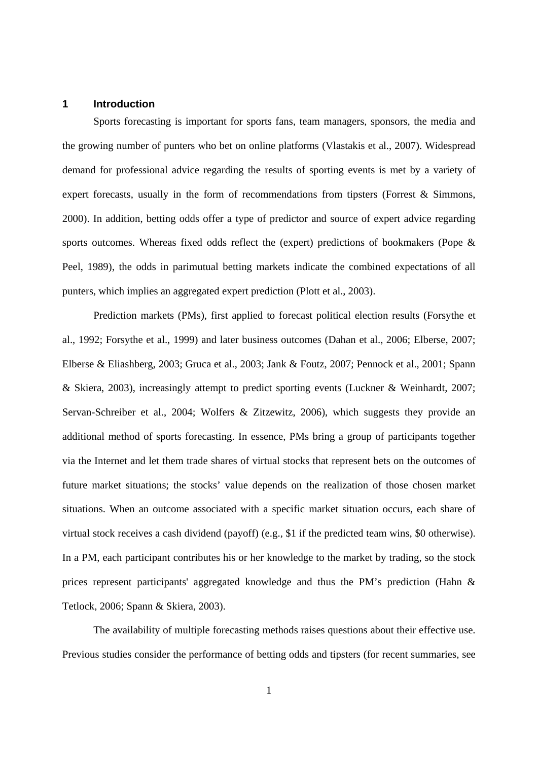#### **1 Introduction**

Sports forecasting is important for sports fans, team managers, sponsors, the media and the growing number of punters who bet on online platforms (Vlastakis et al., 2007). Widespread demand for professional advice regarding the results of sporting events is met by a variety of expert forecasts, usually in the form of recommendations from tipsters (Forrest & Simmons, 2000). In addition, betting odds offer a type of predictor and source of expert advice regarding sports outcomes. Whereas fixed odds reflect the (expert) predictions of bookmakers (Pope & Peel, 1989), the odds in parimutual betting markets indicate the combined expectations of all punters, which implies an aggregated expert prediction (Plott et al., 2003).

Prediction markets (PMs), first applied to forecast political election results (Forsythe et al., 1992; Forsythe et al., 1999) and later business outcomes (Dahan et al., 2006; Elberse, 2007; Elberse & Eliashberg, 2003; Gruca et al., 2003; Jank & Foutz, 2007; Pennock et al., 2001; Spann & Skiera, 2003), increasingly attempt to predict sporting events (Luckner & Weinhardt, 2007; Servan-Schreiber et al., 2004; Wolfers & Zitzewitz, 2006), which suggests they provide an additional method of sports forecasting. In essence, PMs bring a group of participants together via the Internet and let them trade shares of virtual stocks that represent bets on the outcomes of future market situations; the stocks' value depends on the realization of those chosen market situations. When an outcome associated with a specific market situation occurs, each share of virtual stock receives a cash dividend (payoff) (e.g., \$1 if the predicted team wins, \$0 otherwise). In a PM, each participant contributes his or her knowledge to the market by trading, so the stock prices represent participants' aggregated knowledge and thus the PM's prediction (Hahn & Tetlock, 2006; Spann & Skiera, 2003).

The availability of multiple forecasting methods raises questions about their effective use. Previous studies consider the performance of betting odds and tipsters (for recent summaries, see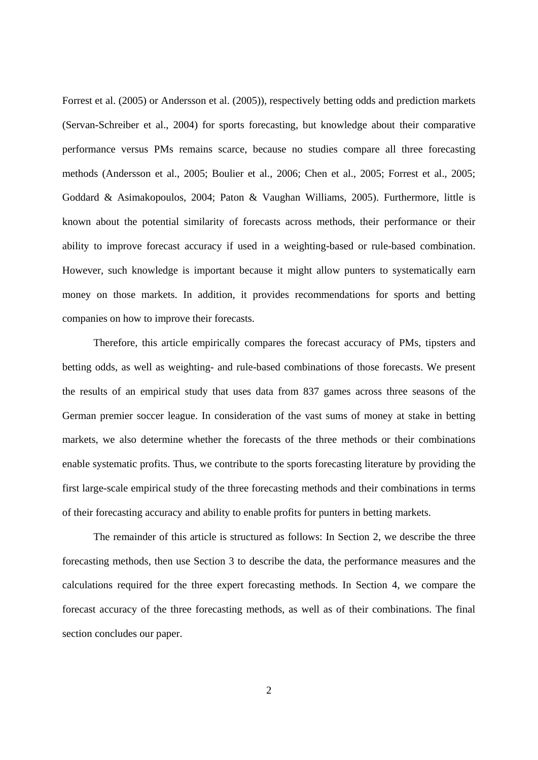Forrest et al. (2005) or Andersson et al. (2005)), respectively betting odds and prediction markets (Servan-Schreiber et al., 2004) for sports forecasting, but knowledge about their comparative performance versus PMs remains scarce, because no studies compare all three forecasting methods (Andersson et al., 2005; Boulier et al., 2006; Chen et al., 2005; Forrest et al., 2005; Goddard & Asimakopoulos, 2004; Paton & Vaughan Williams, 2005). Furthermore, little is known about the potential similarity of forecasts across methods, their performance or their ability to improve forecast accuracy if used in a weighting-based or rule-based combination. However, such knowledge is important because it might allow punters to systematically earn money on those markets. In addition, it provides recommendations for sports and betting companies on how to improve their forecasts.

Therefore, this article empirically compares the forecast accuracy of PMs, tipsters and betting odds, as well as weighting- and rule-based combinations of those forecasts. We present the results of an empirical study that uses data from 837 games across three seasons of the German premier soccer league. In consideration of the vast sums of money at stake in betting markets, we also determine whether the forecasts of the three methods or their combinations enable systematic profits. Thus, we contribute to the sports forecasting literature by providing the first large-scale empirical study of the three forecasting methods and their combinations in terms of their forecasting accuracy and ability to enable profits for punters in betting markets.

The remainder of this article is structured as follows: In Section 2, we describe the three forecasting methods, then use Section 3 to describe the data, the performance measures and the calculations required for the three expert forecasting methods. In Section 4, we compare the forecast accuracy of the three forecasting methods, as well as of their combinations. The final section concludes our paper.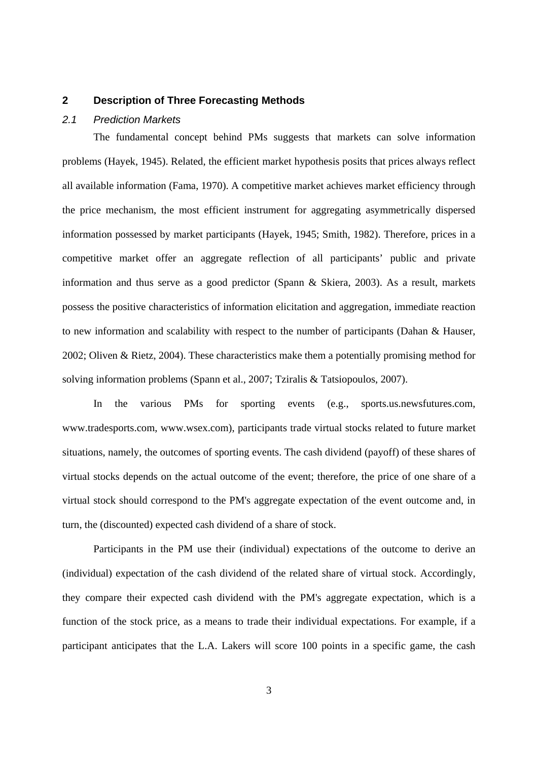#### **2 Description of Three Forecasting Methods**

#### *2.1 Prediction Markets*

The fundamental concept behind PMs suggests that markets can solve information problems (Hayek, 1945). Related, the efficient market hypothesis posits that prices always reflect all available information (Fama, 1970). A competitive market achieves market efficiency through the price mechanism, the most efficient instrument for aggregating asymmetrically dispersed information possessed by market participants (Hayek, 1945; Smith, 1982). Therefore, prices in a competitive market offer an aggregate reflection of all participants' public and private information and thus serve as a good predictor (Spann & Skiera, 2003). As a result, markets possess the positive characteristics of information elicitation and aggregation, immediate reaction to new information and scalability with respect to the number of participants (Dahan & Hauser, 2002; Oliven & Rietz, 2004). These characteristics make them a potentially promising method for solving information problems (Spann et al., 2007; Tziralis & Tatsiopoulos, 2007).

In the various PMs for sporting events (e.g., sports.us.newsfutures.com, www.tradesports.com, www.wsex.com), participants trade virtual stocks related to future market situations, namely, the outcomes of sporting events. The cash dividend (payoff) of these shares of virtual stocks depends on the actual outcome of the event; therefore, the price of one share of a virtual stock should correspond to the PM's aggregate expectation of the event outcome and, in turn, the (discounted) expected cash dividend of a share of stock.

Participants in the PM use their (individual) expectations of the outcome to derive an (individual) expectation of the cash dividend of the related share of virtual stock. Accordingly, they compare their expected cash dividend with the PM's aggregate expectation, which is a function of the stock price, as a means to trade their individual expectations. For example, if a participant anticipates that the L.A. Lakers will score 100 points in a specific game, the cash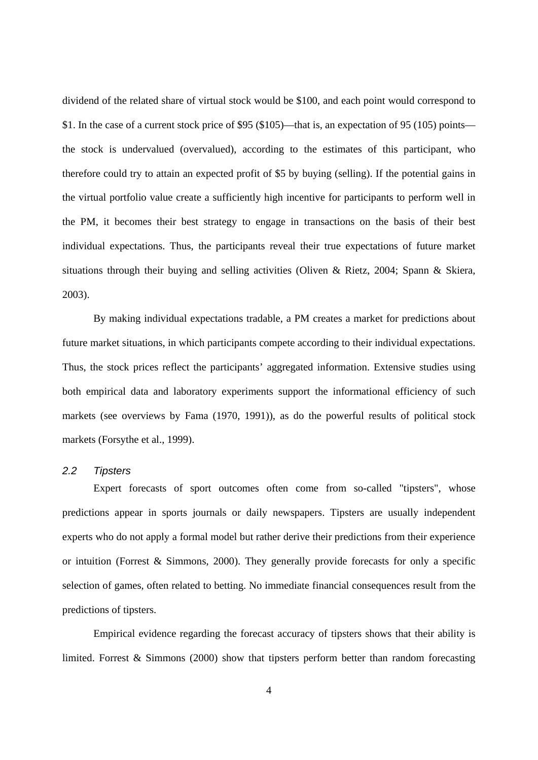dividend of the related share of virtual stock would be \$100, and each point would correspond to \$1. In the case of a current stock price of \$95 (\$105)—that is, an expectation of 95 (105) points the stock is undervalued (overvalued), according to the estimates of this participant, who therefore could try to attain an expected profit of \$5 by buying (selling). If the potential gains in the virtual portfolio value create a sufficiently high incentive for participants to perform well in the PM, it becomes their best strategy to engage in transactions on the basis of their best individual expectations. Thus, the participants reveal their true expectations of future market situations through their buying and selling activities (Oliven & Rietz, 2004; Spann & Skiera, 2003).

By making individual expectations tradable, a PM creates a market for predictions about future market situations, in which participants compete according to their individual expectations. Thus, the stock prices reflect the participants' aggregated information. Extensive studies using both empirical data and laboratory experiments support the informational efficiency of such markets (see overviews by Fama (1970, 1991)), as do the powerful results of political stock markets (Forsythe et al., 1999).

### *2.2 Tipsters*

Expert forecasts of sport outcomes often come from so-called "tipsters", whose predictions appear in sports journals or daily newspapers. Tipsters are usually independent experts who do not apply a formal model but rather derive their predictions from their experience or intuition (Forrest & Simmons, 2000). They generally provide forecasts for only a specific selection of games, often related to betting. No immediate financial consequences result from the predictions of tipsters.

Empirical evidence regarding the forecast accuracy of tipsters shows that their ability is limited. Forrest  $&$  Simmons (2000) show that tipsters perform better than random forecasting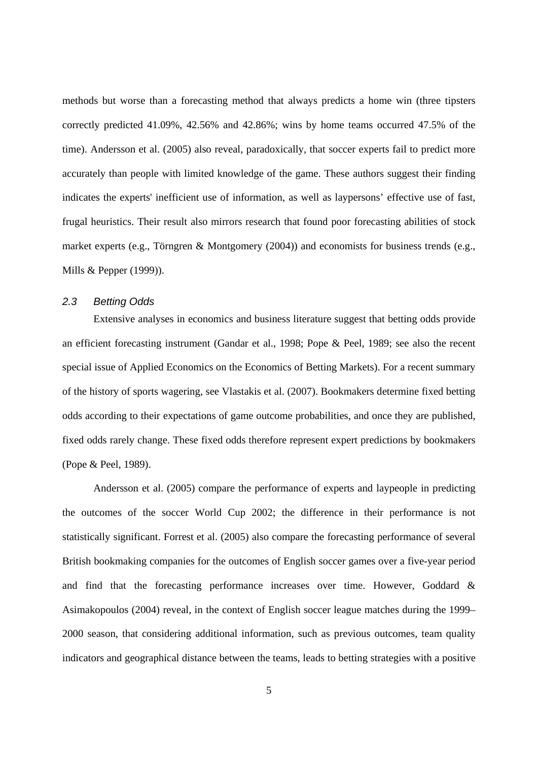methods but worse than a forecasting method that always predicts a home win (three tipsters correctly predicted 41.09%, 42.56% and 42.86%; wins by home teams occurred 47.5% of the time). Andersson et al. (2005) also reveal, paradoxically, that soccer experts fail to predict more accurately than people with limited knowledge of the game. These authors suggest their finding indicates the experts' inefficient use of information, as well as laypersons' effective use of fast, frugal heuristics. Their result also mirrors research that found poor forecasting abilities of stock market experts (e.g., Törngren & Montgomery (2004)) and economists for business trends (e.g., Mills & Pepper (1999)).

## *2.3 Betting Odds*

Extensive analyses in economics and business literature suggest that betting odds provide an efficient forecasting instrument (Gandar et al., 1998; Pope & Peel, 1989; see also the recent special issue of Applied Economics on the Economics of Betting Markets). For a recent summary of the history of sports wagering, see Vlastakis et al. (2007). Bookmakers determine fixed betting odds according to their expectations of game outcome probabilities, and once they are published, fixed odds rarely change. These fixed odds therefore represent expert predictions by bookmakers (Pope & Peel, 1989).

Andersson et al. (2005) compare the performance of experts and laypeople in predicting the outcomes of the soccer World Cup 2002; the difference in their performance is not statistically significant. Forrest et al. (2005) also compare the forecasting performance of several British bookmaking companies for the outcomes of English soccer games over a five-year period and find that the forecasting performance increases over time. However, Goddard & Asimakopoulos (2004) reveal, in the context of English soccer league matches during the 1999– 2000 season, that considering additional information, such as previous outcomes, team quality indicators and geographical distance between the teams, leads to betting strategies with a positive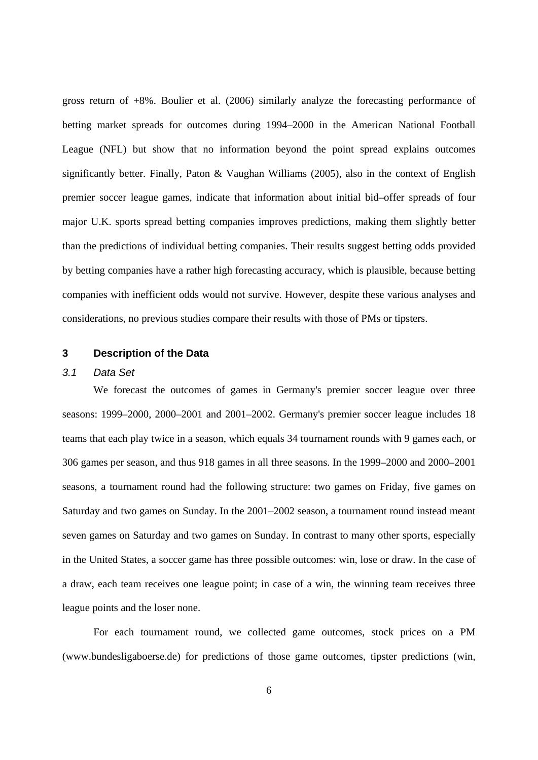gross return of +8%. Boulier et al. (2006) similarly analyze the forecasting performance of betting market spreads for outcomes during 1994–2000 in the American National Football League (NFL) but show that no information beyond the point spread explains outcomes significantly better. Finally, Paton & Vaughan Williams (2005), also in the context of English premier soccer league games, indicate that information about initial bid–offer spreads of four major U.K. sports spread betting companies improves predictions, making them slightly better than the predictions of individual betting companies. Their results suggest betting odds provided by betting companies have a rather high forecasting accuracy, which is plausible, because betting companies with inefficient odds would not survive. However, despite these various analyses and considerations, no previous studies compare their results with those of PMs or tipsters.

#### **3 Description of the Data**

#### *3.1 Data Set*

We forecast the outcomes of games in Germany's premier soccer league over three seasons: 1999–2000, 2000–2001 and 2001–2002. Germany's premier soccer league includes 18 teams that each play twice in a season, which equals 34 tournament rounds with 9 games each, or 306 games per season, and thus 918 games in all three seasons. In the 1999–2000 and 2000–2001 seasons, a tournament round had the following structure: two games on Friday, five games on Saturday and two games on Sunday. In the 2001–2002 season, a tournament round instead meant seven games on Saturday and two games on Sunday. In contrast to many other sports, especially in the United States, a soccer game has three possible outcomes: win, lose or draw. In the case of a draw, each team receives one league point; in case of a win, the winning team receives three league points and the loser none.

For each tournament round, we collected game outcomes, stock prices on a PM (www.bundesligaboerse.de) for predictions of those game outcomes, tipster predictions (win,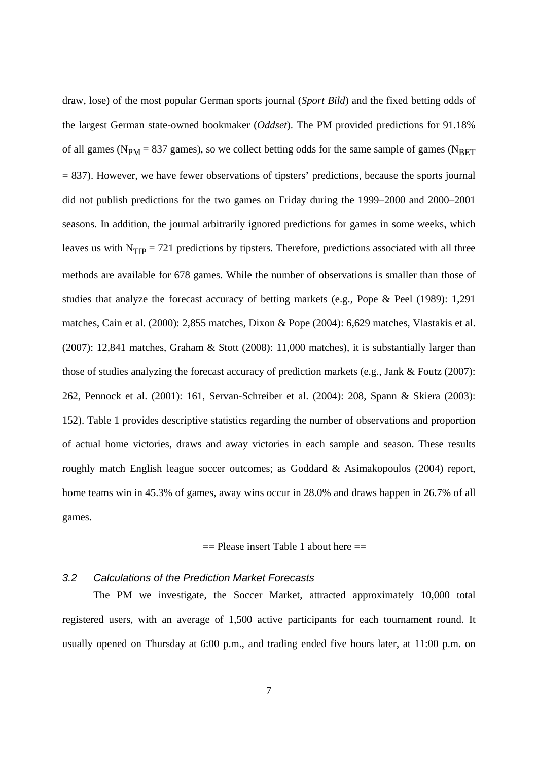draw, lose) of the most popular German sports journal (*Sport Bild*) and the fixed betting odds of the largest German state-owned bookmaker (*Oddset*). The PM provided predictions for 91.18% of all games ( $N_{PM}$  = 837 games), so we collect betting odds for the same sample of games ( $N_{BET}$ = 837). However, we have fewer observations of tipsters' predictions, because the sports journal did not publish predictions for the two games on Friday during the 1999–2000 and 2000–2001 seasons. In addition, the journal arbitrarily ignored predictions for games in some weeks, which leaves us with  $N_{TIP} = 721$  predictions by tipsters. Therefore, predictions associated with all three methods are available for 678 games. While the number of observations is smaller than those of studies that analyze the forecast accuracy of betting markets (e.g., Pope & Peel (1989): 1,291 matches, Cain et al. (2000): 2,855 matches, Dixon & Pope (2004): 6,629 matches, Vlastakis et al. (2007): 12,841 matches, Graham & Stott (2008): 11,000 matches), it is substantially larger than those of studies analyzing the forecast accuracy of prediction markets (e.g., Jank & Foutz (2007): 262, Pennock et al. (2001): 161, Servan-Schreiber et al. (2004): 208, Spann & Skiera (2003): 152). Table 1 provides descriptive statistics regarding the number of observations and proportion of actual home victories, draws and away victories in each sample and season. These results roughly match English league soccer outcomes; as Goddard & Asimakopoulos (2004) report, home teams win in 45.3% of games, away wins occur in 28.0% and draws happen in 26.7% of all games.

#### $==$  Please insert Table 1 about here  $==$

## *3.2 Calculations of the Prediction Market Forecasts*

The PM we investigate, the Soccer Market, attracted approximately 10,000 total registered users, with an average of 1,500 active participants for each tournament round. It usually opened on Thursday at 6:00 p.m., and trading ended five hours later, at 11:00 p.m. on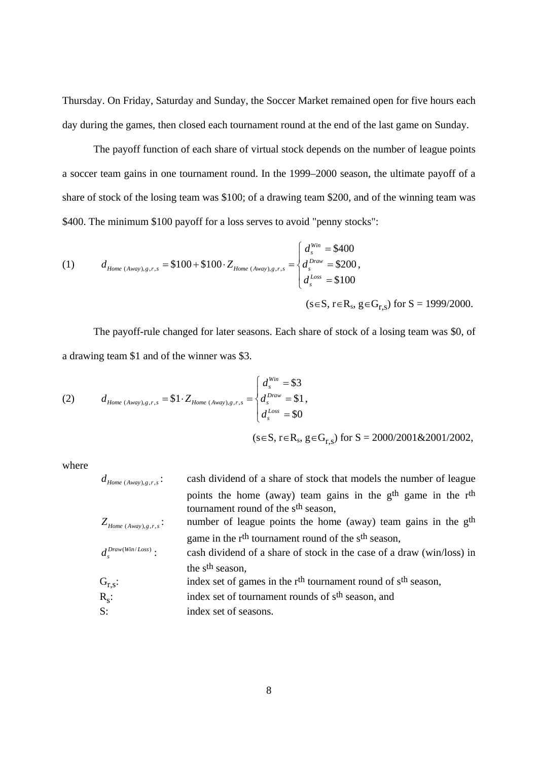Thursday. On Friday, Saturday and Sunday, the Soccer Market remained open for five hours each day during the games, then closed each tournament round at the end of the last game on Sunday.

The payoff function of each share of virtual stock depends on the number of league points a soccer team gains in one tournament round. In the 1999–2000 season, the ultimate payoff of a share of stock of the losing team was \$100; of a drawing team \$200, and of the winning team was \$400. The minimum \$100 payoff for a loss serves to avoid "penny stocks":

(1) 
$$
d_{\text{Home (Away),g,r,s}} = \$100 + \$100 \cdot Z_{\text{Home (Away),g,r,s}} = \begin{cases} d_s^{\text{Win}} = \$400 \\ d_s^{\text{Draw}} = \$200 \\ d_s^{\text{Low}} = \$100 \end{cases}
$$

$$
(\text{s} \in \text{S}, \text{r} \in \text{R}_{\text{s}}, \text{g} \in \text{G}_{\text{r},\text{s}}) \text{ for } \text{S} = 1999/2000.
$$

The payoff-rule changed for later seasons. Each share of stock of a losing team was \$0, of a drawing team \$1 and of the winner was \$3.

(2) 
$$
d_{\text{Home (Away)},g,r,s} = \$1 \cdot Z_{\text{Home (Away)},g,r,s} = \begin{cases} d_s^{\text{Win}} = \$3 \\ d_s^{\text{Draw}} = \$1 \\ d_s^{\text{Loss}} = \$0 \end{cases}
$$

 $(s \in S, r \in R_s, g \in G_{r,s})$  for  $S = 2000/2001 \& 2001/2002$ ,

where

| $d_{Home\ (Away),g,r,s}$ : | cash dividend of a share of stock that models the number of league                                                                      |
|----------------------------|-----------------------------------------------------------------------------------------------------------------------------------------|
|                            | points the home (away) team gains in the g <sup>th</sup> game in the r <sup>th</sup><br>tournament round of the s <sup>th</sup> season, |
| $Z_{Home\ (Away),g,r,s}$ : | number of league points the home (away) team gains in the g <sup>th</sup>                                                               |
|                            | game in the r <sup>th</sup> tournament round of the s <sup>th</sup> season,                                                             |
| $d^{Draw(Win/Loss)}$ :     | cash dividend of a share of stock in the case of a draw (win/loss) in                                                                   |
|                            | the s <sup>th</sup> season,                                                                                                             |
| $G_{r,s}:$                 | index set of games in the r <sup>th</sup> tournament round of s <sup>th</sup> season,                                                   |
| $R_s$ :                    | index set of tournament rounds of s <sup>th</sup> season, and                                                                           |
| $S$ :                      | index set of seasons.                                                                                                                   |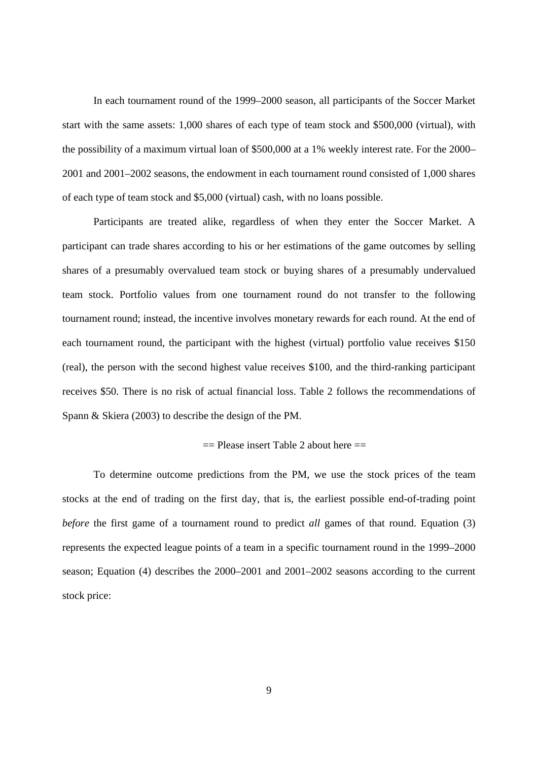In each tournament round of the 1999–2000 season, all participants of the Soccer Market start with the same assets: 1,000 shares of each type of team stock and \$500,000 (virtual), with the possibility of a maximum virtual loan of \$500,000 at a 1% weekly interest rate. For the 2000– 2001 and 2001–2002 seasons, the endowment in each tournament round consisted of 1,000 shares of each type of team stock and \$5,000 (virtual) cash, with no loans possible.

Participants are treated alike, regardless of when they enter the Soccer Market. A participant can trade shares according to his or her estimations of the game outcomes by selling shares of a presumably overvalued team stock or buying shares of a presumably undervalued team stock. Portfolio values from one tournament round do not transfer to the following tournament round; instead, the incentive involves monetary rewards for each round. At the end of each tournament round, the participant with the highest (virtual) portfolio value receives \$150 (real), the person with the second highest value receives \$100, and the third-ranking participant receives \$50. There is no risk of actual financial loss. Table 2 follows the recommendations of Spann & Skiera (2003) to describe the design of the PM.

#### $==$  Please insert Table 2 about here  $==$

To determine outcome predictions from the PM, we use the stock prices of the team stocks at the end of trading on the first day, that is, the earliest possible end-of-trading point *before* the first game of a tournament round to predict *all* games of that round. Equation (3) represents the expected league points of a team in a specific tournament round in the 1999–2000 season; Equation (4) describes the 2000–2001 and 2001–2002 seasons according to the current stock price: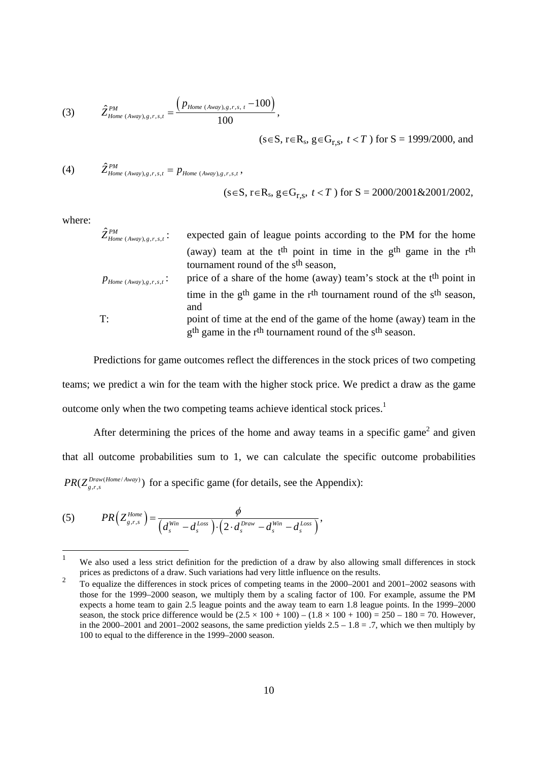(3) 
$$
\hat{Z}_{Home (A way),g,r,s,t}^{PM} = \frac{\left(p_{Home (A way),g,r,s,t} - 100\right)}{100},
$$

 $(s∈S, r∈R<sub>s</sub>, g∈G<sub>r,s</sub>, t < T)$  for  $S = 1999/2000$ , and

(4) 
$$
\hat{Z}_{Home (Away),g,r,s,t}^{PM} = p_{Home (Away),g,r,s,t},
$$

$$
(s \in S, r \in R_s, g \in G_{r,s}, t < T)
$$
 for  $S = 2000/2001 \& 2001/2002$ ,

where:

| $\hat{Z}_{Home\ (Away),g,r,s,t}^{PM}$ : | expected gain of league points according to the PM for the home                                                          |
|-----------------------------------------|--------------------------------------------------------------------------------------------------------------------------|
|                                         | (away) team at the $tth$ point in time in the $gth$ game in the $rth$<br>tournament round of the s <sup>th</sup> season, |
| $p_{Home\ (Away),g,r,s,t}$ :            | price of a share of the home (away) team's stock at the t <sup>th</sup> point in                                         |
|                                         | time in the $gth$ game in the $rth$ tournament round of the $sth$ season,<br>and                                         |
| T:                                      | point of time at the end of the game of the home (away) team in the                                                      |
|                                         | g <sup>th</sup> game in the r <sup>th</sup> tournament round of the s <sup>th</sup> season.                              |

Predictions for game outcomes reflect the differences in the stock prices of two competing teams; we predict a win for the team with the higher stock price. We predict a draw as the game outcome only when the two competing teams achieve identical stock prices.<sup>1</sup>

After determining the prices of the home and away teams in a specific game<sup>2</sup> and given that all outcome probabilities sum to 1, we can calculate the specific outcome probabilities  $PR(Z_{g,r,s}^{Draw(Home/Away)})$  for a specific game (for details, see the Appendix):

$$
(5) \hspace{1cm} PR\Big(Z_{g,r,s}^{Home}\Big) = \frac{\phi}{\Big(d_s^{Win} - d_s^{Loss}\Big) \cdot \Big(2 \cdot d_s^{Draw} - d_s^{Win} - d_s^{Loss}\Big)},
$$

 $\frac{1}{1}$ We also used a less strict definition for the prediction of a draw by also allowing small differences in stock prices as predictons of a draw. Such variations had very little influence on the results.  $2<sup>2</sup>$ 

To equalize the differences in stock prices of competing teams in the 2000–2001 and 2001–2002 seasons with those for the 1999–2000 season, we multiply them by a scaling factor of 100. For example, assume the PM expects a home team to gain 2.5 league points and the away team to earn 1.8 league points. In the 1999–2000 season, the stock price difference would be  $(2.5 \times 100 + 100) - (1.8 \times 100 + 100) = 250 - 180 = 70$ . However, in the 2000–2001 and 2001–2002 seasons, the same prediction yields  $2.5 - 1.8 = .7$ , which we then multiply by 100 to equal to the difference in the 1999–2000 season.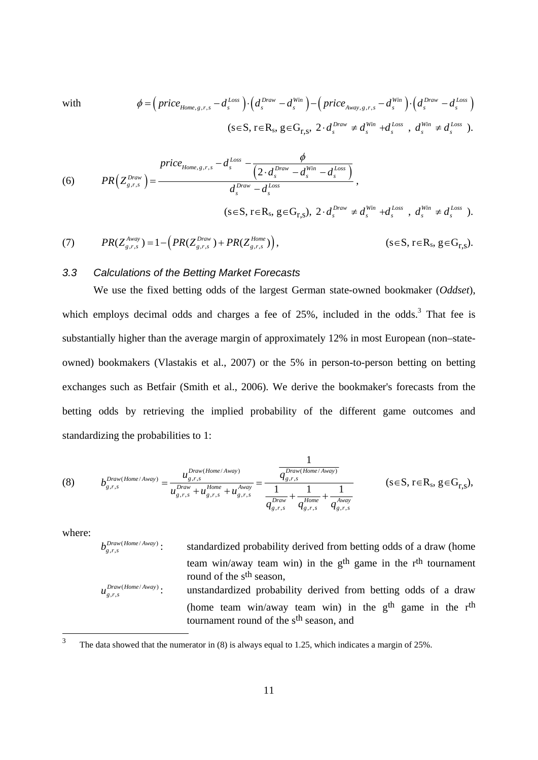with 
$$
\phi = \left( \text{price}_{\text{Home},g,r,s} - d_s^{\text{Loss}} \right) \cdot \left( d_s^{\text{Draw}} - d_s^{\text{Win}} \right) - \left( \text{price}_{\text{Away},g,r,s} - d_s^{\text{Win}} \right) \cdot \left( d_s^{\text{Draw}} - d_s^{\text{Loss}} \right)
$$

$$
(s \in S, r \in R_s, g \in G_{r,s}, 2 \cdot d_s^{\text{Draw}} \neq d_s^{\text{Win}} + d_s^{\text{Loss}} , d_s^{\text{Win}} \neq d_s^{\text{Loss}} ).
$$

(6) 
$$
PR(Z_{g,r,s}^{Draw}) = \frac{price_{Home,s,r,s} - d_s^{Loss} - \frac{\phi}{(2 \cdot d_s^{Draw} - d_s^{Win} - d_s^{Loss})}}{d_s^{Draw} - d_s^{Loss}},
$$

(7) 
$$
(s \in S, r \in R_s, g \in G_{r,s}), 2 \cdot d_s^{Draw} \neq d_s^{Win} + d_s^{Loss}, d_s^{Win} \neq d_s^{Loss}).
$$
  
\n(7)  $PR(Z_{g,r,s}^{away}) = 1 - \left( PR(Z_{g,r,s}^{Draw}) + PR(Z_{g,r,s}^{Home}) \right), \qquad (s \in S, r \in R_s, g \in G_{r,s}).$ 

#### *3.3 Calculations of the Betting Market Forecasts*

We use the fixed betting odds of the largest German state-owned bookmaker (*Oddset*), which employs decimal odds and charges a fee of  $25\%$ , included in the odds.<sup>3</sup> That fee is substantially higher than the average margin of approximately 12% in most European (non–stateowned) bookmakers (Vlastakis et al., 2007) or the 5% in person-to-person betting on betting exchanges such as Betfair (Smith et al., 2006). We derive the bookmaker's forecasts from the betting odds by retrieving the implied probability of the different game outcomes and standardizing the probabilities to 1:

(8) 
$$
b_{g,r,s}^{Draw(Home/Away)} = \frac{u_{g,r,s}^{Draw(Home/Away)}}{u_{g,r,s}^{Draw} + u_{g,r,s}^{Home} + u_{g,r,s}^{Away}} = \frac{\frac{1}{q_{g,r,s}^{Draw(Home/Away)}}}{\frac{1}{q_{g,r,s}^{Draw} + \frac{1}{q_{g,r,s}^{Amap}}} + \frac{1}{q_{g,r,s}^{Away}}} \qquad (s \in S, r \in R_s, g \in G_{r,s}),
$$

where:

(Home / Away) , , *Draw Home Away* standardized probability derived from betting odds of a draw (home team win/away team win) in the g<sup>th</sup> game in the r<sup>th</sup> tournament round of the s<sup>th</sup> season, (Home / Away) , , *Draw Home Away* unstandardized probability derived from betting odds of a draw (home team win/away team win) in the  $g<sup>th</sup>$  game in the r<sup>th</sup> tournament round of the s<sup>th</sup> season, and

 $\frac{1}{3}$ The data showed that the numerator in (8) is always equal to 1.25, which indicates a margin of 25%.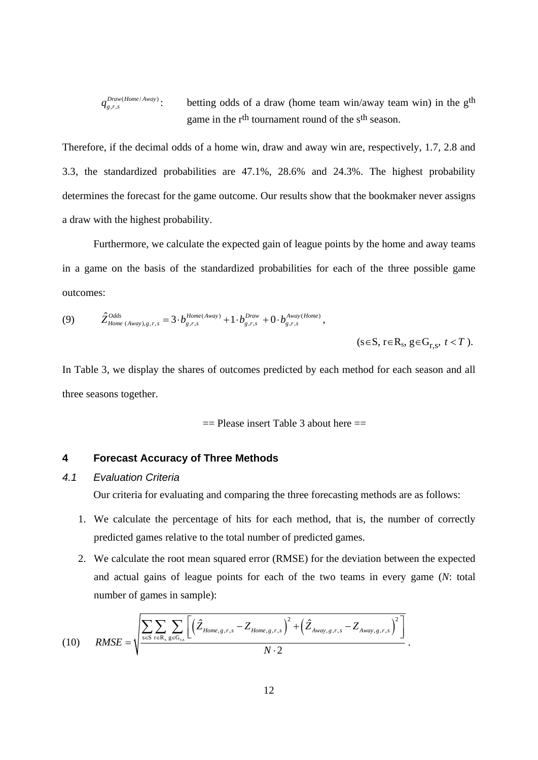$$
q_{g,r,s}^{Draw(Home/Away)}
$$
: betting odds of a draw (home team win/away team win) in the g<sup>th</sup>  
game in the r<sup>th</sup> tournament round of the s<sup>th</sup> season.

Therefore, if the decimal odds of a home win, draw and away win are, respectively, 1.7, 2.8 and 3.3, the standardized probabilities are 47.1%, 28.6% and 24.3%. The highest probability determines the forecast for the game outcome. Our results show that the bookmaker never assigns a draw with the highest probability.

Furthermore, we calculate the expected gain of league points by the home and away teams in a game on the basis of the standardized probabilities for each of the three possible game outcomes:

(9) 
$$
\hat{Z}_{Home (A way),g,r,s}^{Odds} = 3 \cdot b_{g,r,s}^{Home (A way)} + 1 \cdot b_{g,r,s}^{Draw} + 0 \cdot b_{g,r,s}^{A way (Home)},
$$
  
(s  $\in$  S, r  $\in$  R<sub>s</sub>, g  $\in$  G<sub>r,s</sub>, t < T).

In Table 3, we display the shares of outcomes predicted by each method for each season and all three seasons together.

$$
=
$$
 Please insert Table 3 about here  $=$ 

### **4 Forecast Accuracy of Three Methods**

### *4.1 Evaluation Criteria*

Our criteria for evaluating and comparing the three forecasting methods are as follows:

- 1. We calculate the percentage of hits for each method, that is, the number of correctly predicted games relative to the total number of predicted games.
- 2. We calculate the root mean squared error (RMSE) for the deviation between the expected and actual gains of league points for each of the two teams in every game (*N*: total number of games in sample):

(10) 
$$
RMSE = \sqrt{\frac{\sum_{s \in S} \sum_{r \in R_s} \sum_{g \in G_{r,s}} \left[ \left( \hat{Z}_{Home,g,r,s} - Z_{Home,g,r,s} \right)^2 + \left( \hat{Z}_{Away,g,r,s} - Z_{Away,g,r,s} \right)^2 \right]}{N \cdot 2}}.
$$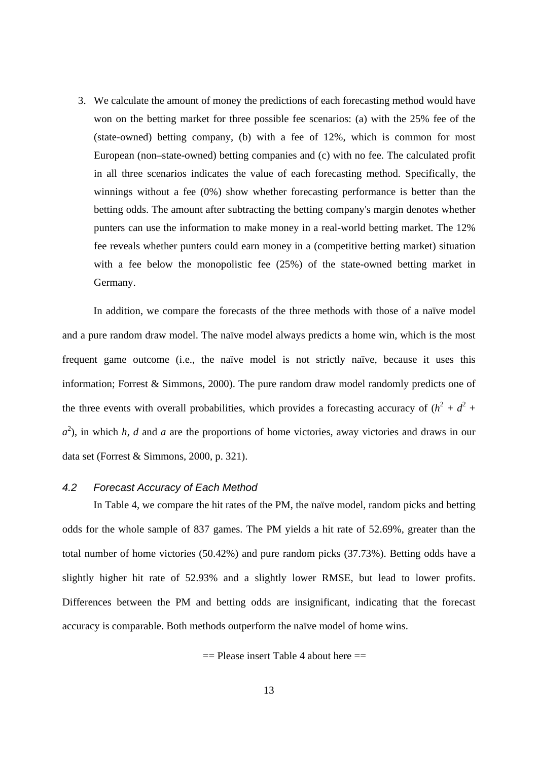3. We calculate the amount of money the predictions of each forecasting method would have won on the betting market for three possible fee scenarios: (a) with the 25% fee of the (state-owned) betting company, (b) with a fee of 12%, which is common for most European (non–state-owned) betting companies and (c) with no fee. The calculated profit in all three scenarios indicates the value of each forecasting method. Specifically, the winnings without a fee (0%) show whether forecasting performance is better than the betting odds. The amount after subtracting the betting company's margin denotes whether punters can use the information to make money in a real-world betting market. The 12% fee reveals whether punters could earn money in a (competitive betting market) situation with a fee below the monopolistic fee (25%) of the state-owned betting market in Germany.

In addition, we compare the forecasts of the three methods with those of a naïve model and a pure random draw model. The naïve model always predicts a home win, which is the most frequent game outcome (i.e., the naïve model is not strictly naïve, because it uses this information; Forrest & Simmons, 2000). The pure random draw model randomly predicts one of the three events with overall probabilities, which provides a forecasting accuracy of  $(h^2 + d^2 +$  $a^2$ ), in which *h*, *d* and *a* are the proportions of home victories, away victories and draws in our data set (Forrest & Simmons, 2000, p. 321).

#### *4.2 Forecast Accuracy of Each Method*

In Table 4, we compare the hit rates of the PM, the naïve model, random picks and betting odds for the whole sample of 837 games. The PM yields a hit rate of 52.69%, greater than the total number of home victories (50.42%) and pure random picks (37.73%). Betting odds have a slightly higher hit rate of 52.93% and a slightly lower RMSE, but lead to lower profits. Differences between the PM and betting odds are insignificant, indicating that the forecast accuracy is comparable. Both methods outperform the naïve model of home wins.

 $==$  Please insert Table 4 about here  $==$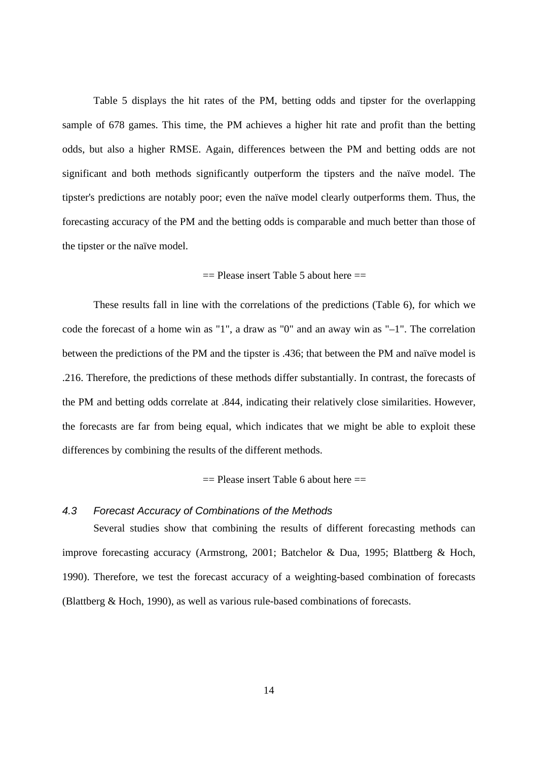Table 5 displays the hit rates of the PM, betting odds and tipster for the overlapping sample of 678 games. This time, the PM achieves a higher hit rate and profit than the betting odds, but also a higher RMSE. Again, differences between the PM and betting odds are not significant and both methods significantly outperform the tipsters and the naïve model. The tipster's predictions are notably poor; even the naïve model clearly outperforms them. Thus, the forecasting accuracy of the PM and the betting odds is comparable and much better than those of the tipster or the naïve model.

### $==$  Please insert Table 5 about here  $==$

These results fall in line with the correlations of the predictions (Table 6), for which we code the forecast of a home win as "1", a draw as "0" and an away win as "–1". The correlation between the predictions of the PM and the tipster is .436; that between the PM and naïve model is .216. Therefore, the predictions of these methods differ substantially. In contrast, the forecasts of the PM and betting odds correlate at .844, indicating their relatively close similarities. However, the forecasts are far from being equal, which indicates that we might be able to exploit these differences by combining the results of the different methods.

 $==$  Please insert Table 6 about here  $==$ 

#### *4.3 Forecast Accuracy of Combinations of the Methods*

Several studies show that combining the results of different forecasting methods can improve forecasting accuracy (Armstrong, 2001; Batchelor & Dua, 1995; Blattberg & Hoch, 1990). Therefore, we test the forecast accuracy of a weighting-based combination of forecasts (Blattberg & Hoch, 1990), as well as various rule-based combinations of forecasts.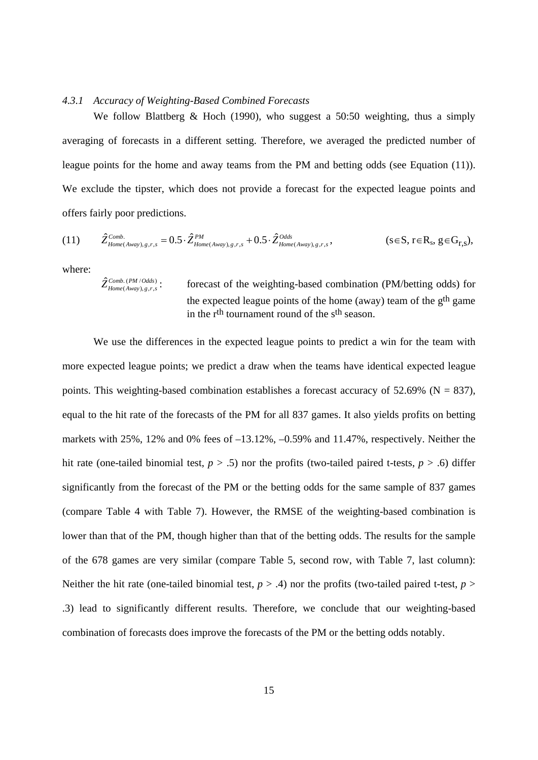#### *4.3.1 Accuracy of Weighting-Based Combined Forecasts*

We follow Blattberg & Hoch (1990), who suggest a 50:50 weighting, thus a simply averaging of forecasts in a different setting. Therefore, we averaged the predicted number of league points for the home and away teams from the PM and betting odds (see Equation (11)). We exclude the tipster, which does not provide a forecast for the expected league points and offers fairly poor predictions.

$$
(11) \qquad \hat{Z}_{\text{Home}(Away),g,r,s}^{\text{Comb.}}=0.5\cdot\hat{Z}_{\text{Home}(Away),g,r,s}^{\text{PM}}+0.5\cdot\hat{Z}_{\text{Home}(Away),g,r,s}^{\text{Odds}},\qquad \qquad (s\in S,\,r\in R_s,\,g\in G_{r,s}),
$$

where:

 $\hat{Z}_{Home(Away),g,r,s}^{Comb. (PM/Odds)}$ .

forecast of the weighting-based combination (PM/betting odds) for the expected league points of the home (away) team of the  $g<sup>th</sup>$  game in the rth tournament round of the sth season.

We use the differences in the expected league points to predict a win for the team with more expected league points; we predict a draw when the teams have identical expected league points. This weighting-based combination establishes a forecast accuracy of  $52.69\%$  (N = 837), equal to the hit rate of the forecasts of the PM for all 837 games. It also yields profits on betting markets with 25%, 12% and 0% fees of –13.12%, –0.59% and 11.47%, respectively. Neither the hit rate (one-tailed binomial test,  $p > .5$ ) nor the profits (two-tailed paired t-tests,  $p > .6$ ) differ significantly from the forecast of the PM or the betting odds for the same sample of 837 games (compare Table 4 with Table 7). However, the RMSE of the weighting-based combination is lower than that of the PM, though higher than that of the betting odds. The results for the sample of the 678 games are very similar (compare Table 5, second row, with Table 7, last column): Neither the hit rate (one-tailed binomial test,  $p > .4$ ) nor the profits (two-tailed paired t-test,  $p >$ .3) lead to significantly different results. Therefore, we conclude that our weighting-based combination of forecasts does improve the forecasts of the PM or the betting odds notably.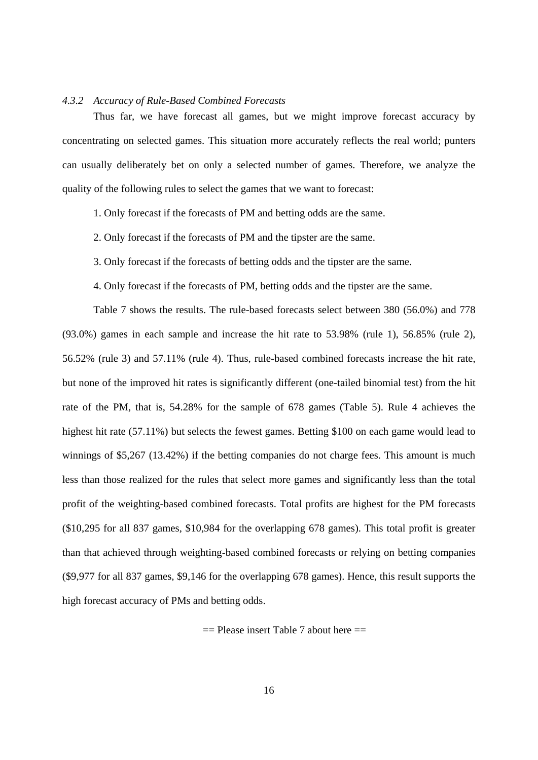#### *4.3.2 Accuracy of Rule-Based Combined Forecasts*

Thus far, we have forecast all games, but we might improve forecast accuracy by concentrating on selected games. This situation more accurately reflects the real world; punters can usually deliberately bet on only a selected number of games. Therefore, we analyze the quality of the following rules to select the games that we want to forecast:

1. Only forecast if the forecasts of PM and betting odds are the same.

2. Only forecast if the forecasts of PM and the tipster are the same.

3. Only forecast if the forecasts of betting odds and the tipster are the same.

4. Only forecast if the forecasts of PM, betting odds and the tipster are the same.

Table 7 shows the results. The rule-based forecasts select between 380 (56.0%) and 778 (93.0%) games in each sample and increase the hit rate to 53.98% (rule 1), 56.85% (rule 2), 56.52% (rule 3) and 57.11% (rule 4). Thus, rule-based combined forecasts increase the hit rate, but none of the improved hit rates is significantly different (one-tailed binomial test) from the hit rate of the PM, that is, 54.28% for the sample of 678 games (Table 5). Rule 4 achieves the highest hit rate (57.11%) but selects the fewest games. Betting \$100 on each game would lead to winnings of \$5,267 (13.42%) if the betting companies do not charge fees. This amount is much less than those realized for the rules that select more games and significantly less than the total profit of the weighting-based combined forecasts. Total profits are highest for the PM forecasts (\$10,295 for all 837 games, \$10,984 for the overlapping 678 games). This total profit is greater than that achieved through weighting-based combined forecasts or relying on betting companies (\$9,977 for all 837 games, \$9,146 for the overlapping 678 games). Hence, this result supports the high forecast accuracy of PMs and betting odds.

 $==$  Please insert Table 7 about here  $==$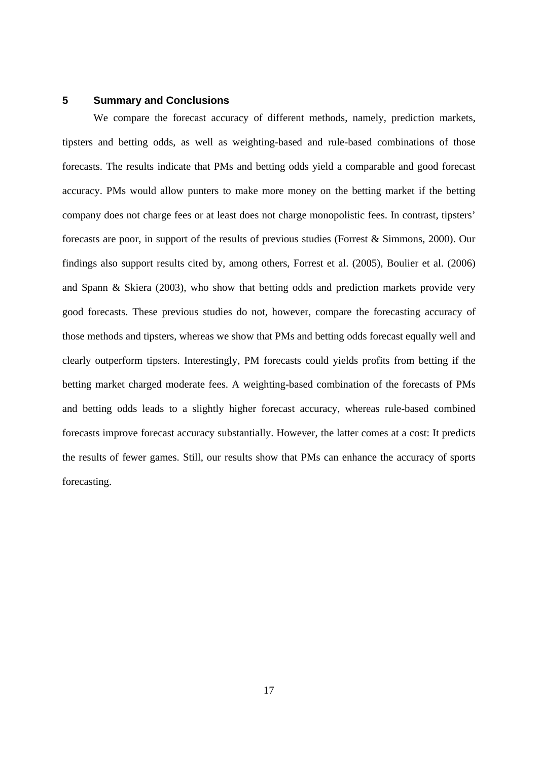### **5 Summary and Conclusions**

We compare the forecast accuracy of different methods, namely, prediction markets, tipsters and betting odds, as well as weighting-based and rule-based combinations of those forecasts. The results indicate that PMs and betting odds yield a comparable and good forecast accuracy. PMs would allow punters to make more money on the betting market if the betting company does not charge fees or at least does not charge monopolistic fees. In contrast, tipsters' forecasts are poor, in support of the results of previous studies (Forrest & Simmons, 2000). Our findings also support results cited by, among others, Forrest et al. (2005), Boulier et al. (2006) and Spann & Skiera (2003), who show that betting odds and prediction markets provide very good forecasts. These previous studies do not, however, compare the forecasting accuracy of those methods and tipsters, whereas we show that PMs and betting odds forecast equally well and clearly outperform tipsters. Interestingly, PM forecasts could yields profits from betting if the betting market charged moderate fees. A weighting-based combination of the forecasts of PMs and betting odds leads to a slightly higher forecast accuracy, whereas rule-based combined forecasts improve forecast accuracy substantially. However, the latter comes at a cost: It predicts the results of fewer games. Still, our results show that PMs can enhance the accuracy of sports forecasting.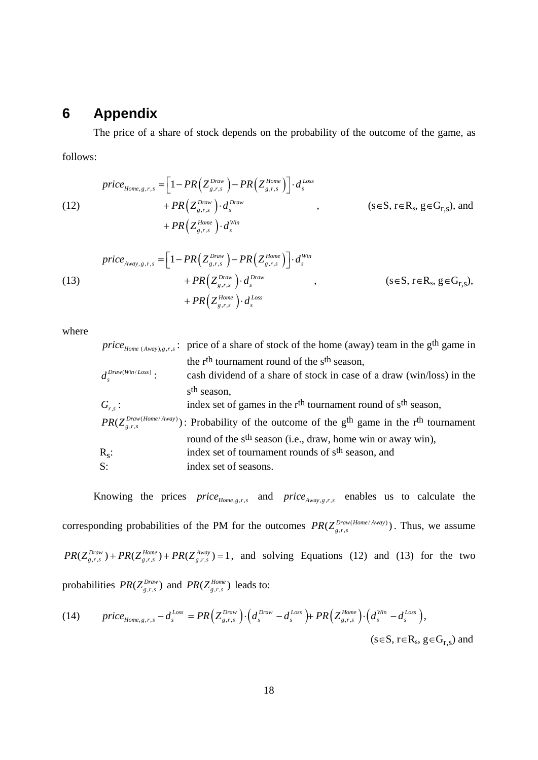# **6 Appendix**

The price of a share of stock depends on the probability of the outcome of the game, as follows:

$$
price_{Home,g,r,s} = \left[1 - PR\left(Z_{g,r,s}^{Draw}\right) - PR\left(Z_{g,r,s}^{Home}\right)\right] \cdot d_s^{Loss}
$$
\n
$$
+ PR\left(Z_{g,r,s}^{Draw}\right) \cdot d_s^{Draw}, \qquad (s \in S, r \in R_s, g \in G_{r,s}), \text{ and}
$$
\n
$$
+ PR\left(Z_{g,r,s}^{Home}\right) \cdot d_s^{Win}
$$

$$
price_{\text{Away},g,r,s} = \left[1 - PR\left(Z_{g,r,s}^{Draw}\right) - PR\left(Z_{g,r,s}^{Home}\right)\right] \cdot d_s^{Win} + PR\left(Z_{g,r,s}^{Draw}\right) \cdot d_s^{Draw}, \qquad (s \in S, r \in R_s, g \in G_{r,s}),
$$
\n
$$
+ PR\left(Z_{g,r,s}^{Home}\right) \cdot d_s^{Loss}
$$
\n
$$
(s \in S, r \in R_s, g \in G_{r,s}),
$$

where

|                          | <i>price</i> <sub>Home (Away),g,r,s</sub> : price of a share of stock of the home (away) team in the g <sup>th</sup> game in |
|--------------------------|------------------------------------------------------------------------------------------------------------------------------|
|                          | the r <sup>th</sup> tournament round of the s <sup>th</sup> season,                                                          |
| $d_s^{Draw(Win/Loss)}$ : | cash dividend of a share of stock in case of a draw (win/loss) in the                                                        |
|                          | s <sup>th</sup> season,                                                                                                      |
| $G_{rs}$ :               | index set of games in the r <sup>th</sup> tournament round of s <sup>th</sup> season,                                        |
|                          | $PR(Z_{e,r,s}^{Draw(Home/Away)})$ : Probability of the outcome of the g <sup>th</sup> game in the r <sup>th</sup> tournament |
|                          | round of the s <sup>th</sup> season (i.e., draw, home win or away win),                                                      |
| $R_{\rm s}$ :            | index set of tournament rounds of s <sup>th</sup> season, and                                                                |
| S:                       | index set of seasons.                                                                                                        |

Knowing the prices  $price_{Home,g,r,s}$  and  $price_{Away,g,r,s}$  enables us to calculate the corresponding probabilities of the PM for the outcomes  $PR(Z_{g,r,s}^{Draw(Home/Away)})$ . Thus, we assume  $PR(Z_{g,r,s}^{Draw}) + PR(Z_{g,r,s}^{Home}) + PR(Z_{g,r,s}^{Avg}) = 1$ , and solving Equations (12) and (13) for the two probabilities  $PR(Z_{g,r,s}^{Draw})$  and  $PR(Z_{g,r,s}^{Home})$  leads to:

(14) 
$$
price_{Home,g,r,s} - d_s^{Loss} = PR\Big(Z_{g,r,s}^{Draw}\Big) \cdot \Big(d_s^{Draw} - d_s^{Loss}\Big) + PR\Big(Z_{g,r,s}^{Home}\Big) \cdot \Big(d_s^{Win} - d_s^{Loss}\Big),
$$

$$
(s \in S, r \in R_s, g \in G_{r,s}) \text{ and}
$$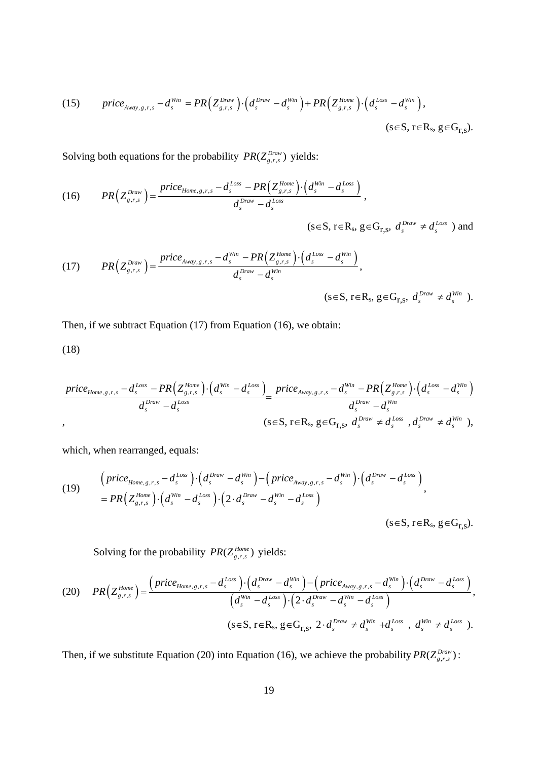(15) 
$$
price_{\text{Away},g,r,s} - d_s^{\text{Win}} = PR\Big(Z_{g,r,s}^{\text{Draw}}\Big) \cdot \Big(d_s^{\text{Draw}} - d_s^{\text{Win}}\Big) + PR\Big(Z_{g,r,s}^{\text{Home}}\Big) \cdot \Big(d_s^{\text{Loss}} - d_s^{\text{Win}}\Big),
$$

$$
(s \in S, r \in R_s, g \in G_{r,s}).
$$

Solving both equations for the probability  $PR(Z_{g,r,s}^{Draw})$  yields:

$$
(16) \qquad PR\left(Z_{g,r,s}^{Draw}\right) = \frac{price_{Home,s,r,s} - d_s^{Loss} - PR\left(Z_{g,r,s}^{Home}\right) \cdot \left(d_s^{Win} - d_s^{Loss}\right)}{d_s^{Draw} - d_s^{Loss}},
$$

 $(s \in S, r \in R_s, g \in G_{r,s}, d_s^{Draw} \neq d_s^{Loss}$ ) and

$$
(17) \qquad PR\Big(Z_{g,r,s}^{Draw}\Big) = \frac{price_{Away,g,r,s} - d_s^{Win} - PR\Big(Z_{g,r,s}^{Home}\Big) \cdot \Big(d_s^{Loss} - d_s^{Win}\Big)}{d_s^{Draw} - d_s^{Win}}, \qquad (s \in S, r \in R_s, g \in G_{r,s}, d_s^{Draw} \neq d_s^{Win}).
$$

Then, if we subtract Equation (17) from Equation (16), we obtain:

(18)

$$
\frac{price_{Home,s,r,s} - d_s^{Loss} - PR(Z_{g,r,s}^{Home}) \cdot (d_s^{Win} - d_s^{Loss})}{d_s^{Draw} - d_s^{Loss}} = \frac{price_{Away,s,r,s} - d_s^{Win} - PR(Z_{g,r,s}^{Home}) \cdot (d_s^{Loss} - d_s^{Win})}{d_s^{Draw} - d_s^{Win}}
$$
,  
\n
$$
(s \in S, r \in R_s, g \in G_{r,s}, d_s^{Draw} \neq d_s^{Loss}, d_s^{Draw} \neq d_s^{Win}),
$$

which, when rearranged, equals:

$$
(19) \qquad \begin{array}{l} \left(\text{price}_{\text{Home},g,r,s}-d_s^{\text{Loss}}\right)\cdot\left(d_s^{\text{Draw}}-d_s^{\text{Win}}\right)-\left(\text{price}_{\text{Away},g,r,s}-d_s^{\text{Win}}\right)\cdot\left(d_s^{\text{Draw}}-d_s^{\text{Loss}}\right) \\ = \text{PR}\left(Z_{g,r,s}^{\text{Home}}\right)\cdot\left(d_s^{\text{Win}}-d_s^{\text{Loss}}\right)\cdot\left(2\cdot d_s^{\text{Draw}}-d_s^{\text{Win}}-d_s^{\text{Loss}}\right) \end{array},
$$

 $(s \in S, r \in R_s, g \in G_{r,s}).$ 

Solving for the probability  $PR(Z_{g,r,s}^{Home})$  yields:

$$
(20) \qquad PR\Big(Z_{g,r,s}^{Home}\Big) = \frac{\left(\text{price}_{Home,g,r,s} - d_s^{\text{Loss}}\right) \cdot \left(d_s^{\text{Draw}} - d_s^{\text{Win}}\right) - \left(\text{price}_{\text{Away},g,r,s} - d_s^{\text{Win}}\right) \cdot \left(d_s^{\text{Draw}} - d_s^{\text{Loss}}\right)}{\left(d_s^{\text{Win}} - d_s^{\text{Loss}}\right) \cdot \left(2 \cdot d_s^{\text{Draw}} - d_s^{\text{Win}} - d_s^{\text{loss}}\right)},\newline (s \in S, r \in R_s, g \in G_{r,s}, 2 \cdot d_s^{\text{Draw}} \neq d_s^{\text{Win}} + d_s^{\text{Loss}}, d_s^{\text{Win}} \neq d_s^{\text{Loss}}).
$$

Then, if we substitute Equation (20) into Equation (16), we achieve the probability  $PR(Z_{g,r,s}^{Draw})$ :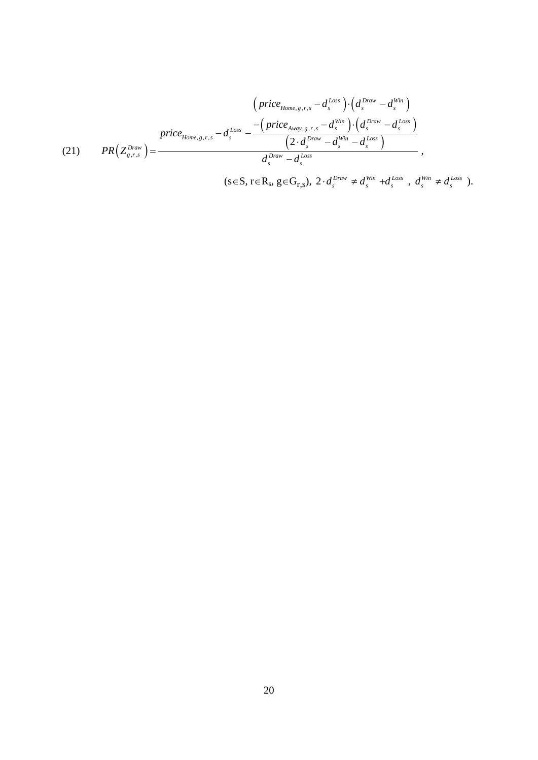$$
(21) \qquad \text{Pric}_{\text{Home},g,r,s} - d_s^{\text{Loss}} - \frac{\left(\text{price}_{\text{Away},g,r,s} - d_s^{\text{loss}}\right) \cdot \left(d_s^{\text{Draw}} - d_s^{\text{Win}}\right)}{\left(2 \cdot d_s^{\text{Draw}} - d_s^{\text{Win}}\right) \cdot \left(d_s^{\text{Draw}} - d_s^{\text{Loss}}\right)}{\left(2 \cdot d_s^{\text{Draw}} - d_s^{\text{Win}}\right)}},
$$
\n
$$
(21) \qquad \text{PR}\left(Z_{g,r,s}^{\text{Draw}}\right) = \frac{d_s^{\text{Draw}} - d_s^{\text{Loss}}}{d_s^{\text{Draw}} - d_s^{\text{Loss}}}, \quad 2 \cdot d_s^{\text{Draw}} \neq d_s^{\text{Win}} + d_s^{\text{Loss}}, \quad d_s^{\text{Win}} \neq d_s^{\text{Uoss}}).
$$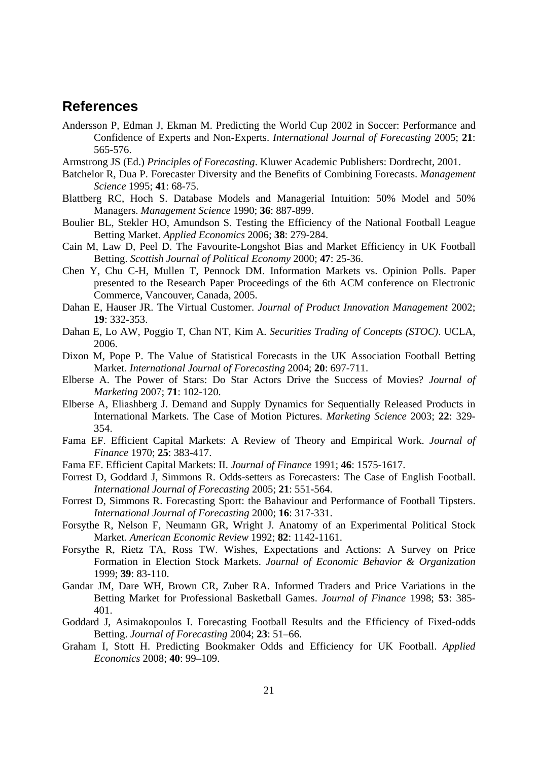# **References**

- Andersson P, Edman J, Ekman M. Predicting the World Cup 2002 in Soccer: Performance and Confidence of Experts and Non-Experts. *International Journal of Forecasting* 2005; **21**: 565-576.
- Armstrong JS (Ed.) *Principles of Forecasting*. Kluwer Academic Publishers: Dordrecht, 2001.
- Batchelor R, Dua P. Forecaster Diversity and the Benefits of Combining Forecasts. *Management Science* 1995; **41**: 68-75.
- Blattberg RC, Hoch S. Database Models and Managerial Intuition: 50% Model and 50% Managers. *Management Science* 1990; **36**: 887-899.
- Boulier BL, Stekler HO, Amundson S. Testing the Efficiency of the National Football League Betting Market. *Applied Economics* 2006; **38**: 279-284.
- Cain M, Law D, Peel D. The Favourite-Longshot Bias and Market Efficiency in UK Football Betting. *Scottish Journal of Political Economy* 2000; **47**: 25-36.
- Chen Y, Chu C-H, Mullen T, Pennock DM. Information Markets vs. Opinion Polls. Paper presented to the Research Paper Proceedings of the 6th ACM conference on Electronic Commerce, Vancouver, Canada, 2005.
- Dahan E, Hauser JR. The Virtual Customer. *Journal of Product Innovation Management* 2002; **19**: 332-353.
- Dahan E, Lo AW, Poggio T, Chan NT, Kim A. *Securities Trading of Concepts (STOC)*. UCLA, 2006.
- Dixon M, Pope P. The Value of Statistical Forecasts in the UK Association Football Betting Market. *International Journal of Forecasting* 2004; **20**: 697-711.
- Elberse A. The Power of Stars: Do Star Actors Drive the Success of Movies? *Journal of Marketing* 2007; **71**: 102-120.
- Elberse A, Eliashberg J. Demand and Supply Dynamics for Sequentially Released Products in International Markets. The Case of Motion Pictures. *Marketing Science* 2003; **22**: 329- 354.
- Fama EF. Efficient Capital Markets: A Review of Theory and Empirical Work. *Journal of Finance* 1970; **25**: 383-417.
- Fama EF. Efficient Capital Markets: II. *Journal of Finance* 1991; **46**: 1575-1617.
- Forrest D, Goddard J, Simmons R. Odds-setters as Forecasters: The Case of English Football. *International Journal of Forecasting* 2005; **21**: 551-564.
- Forrest D, Simmons R. Forecasting Sport: the Bahaviour and Performance of Football Tipsters. *International Journal of Forecasting* 2000; **16**: 317-331.
- Forsythe R, Nelson F, Neumann GR, Wright J. Anatomy of an Experimental Political Stock Market. *American Economic Review* 1992; **82**: 1142-1161.
- Forsythe R, Rietz TA, Ross TW. Wishes, Expectations and Actions: A Survey on Price Formation in Election Stock Markets. *Journal of Economic Behavior & Organization* 1999; **39**: 83-110.
- Gandar JM, Dare WH, Brown CR, Zuber RA. Informed Traders and Price Variations in the Betting Market for Professional Basketball Games. *Journal of Finance* 1998; **53**: 385- 401.
- Goddard J, Asimakopoulos I. Forecasting Football Results and the Efficiency of Fixed-odds Betting. *Journal of Forecasting* 2004; **23**: 51–66.
- Graham I, Stott H. Predicting Bookmaker Odds and Efficiency for UK Football. *Applied Economics* 2008; **40**: 99–109.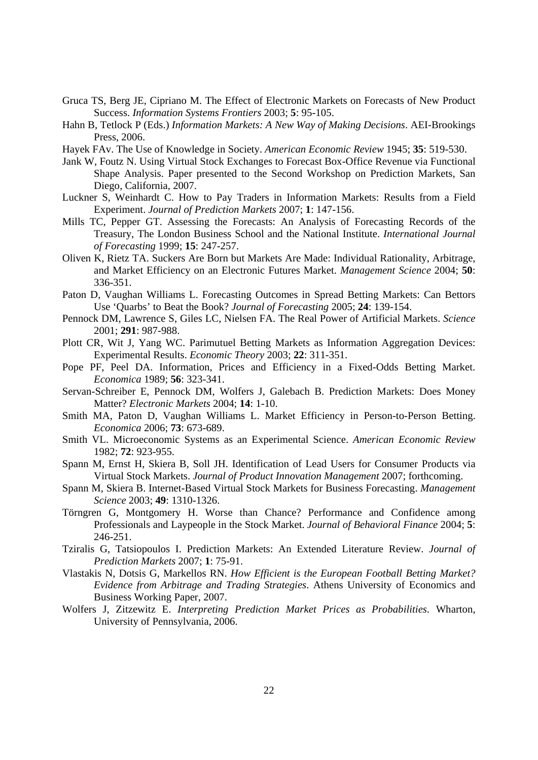- Gruca TS, Berg JE, Cipriano M. The Effect of Electronic Markets on Forecasts of New Product Success. *Information Systems Frontiers* 2003; **5**: 95-105.
- Hahn B, Tetlock P (Eds.) *Information Markets: A New Way of Making Decisions*. AEI-Brookings Press, 2006.
- Hayek FAv. The Use of Knowledge in Society. *American Economic Review* 1945; **35**: 519-530.
- Jank W, Foutz N. Using Virtual Stock Exchanges to Forecast Box-Office Revenue via Functional Shape Analysis. Paper presented to the Second Workshop on Prediction Markets, San Diego, California, 2007.
- Luckner S, Weinhardt C. How to Pay Traders in Information Markets: Results from a Field Experiment. *Journal of Prediction Markets* 2007; **1**: 147-156.
- Mills TC, Pepper GT. Assessing the Forecasts: An Analysis of Forecasting Records of the Treasury, The London Business School and the National Institute. *International Journal of Forecasting* 1999; **15**: 247-257.
- Oliven K, Rietz TA. Suckers Are Born but Markets Are Made: Individual Rationality, Arbitrage, and Market Efficiency on an Electronic Futures Market. *Management Science* 2004; **50**: 336-351.
- Paton D, Vaughan Williams L. Forecasting Outcomes in Spread Betting Markets: Can Bettors Use 'Quarbs' to Beat the Book? *Journal of Forecasting* 2005; **24**: 139-154.
- Pennock DM, Lawrence S, Giles LC, Nielsen FA. The Real Power of Artificial Markets. *Science* 2001; **291**: 987-988.
- Plott CR, Wit J, Yang WC. Parimutuel Betting Markets as Information Aggregation Devices: Experimental Results. *Economic Theory* 2003; **22**: 311-351.
- Pope PF, Peel DA. Information, Prices and Efficiency in a Fixed-Odds Betting Market. *Economica* 1989; **56**: 323-341.
- Servan-Schreiber E, Pennock DM, Wolfers J, Galebach B. Prediction Markets: Does Money Matter? *Electronic Markets* 2004; **14**: 1-10.
- Smith MA, Paton D, Vaughan Williams L. Market Efficiency in Person-to-Person Betting. *Economica* 2006; **73**: 673-689.
- Smith VL. Microeconomic Systems as an Experimental Science. *American Economic Review* 1982; **72**: 923-955.
- Spann M, Ernst H, Skiera B, Soll JH. Identification of Lead Users for Consumer Products via Virtual Stock Markets. *Journal of Product Innovation Management* 2007; forthcoming.
- Spann M, Skiera B. Internet-Based Virtual Stock Markets for Business Forecasting. *Management Science* 2003; **49**: 1310-1326.
- Törngren G, Montgomery H. Worse than Chance? Performance and Confidence among Professionals and Laypeople in the Stock Market. *Journal of Behavioral Finance* 2004; **5**: 246-251.
- Tziralis G, Tatsiopoulos I. Prediction Markets: An Extended Literature Review. *Journal of Prediction Markets* 2007; **1**: 75-91.
- Vlastakis N, Dotsis G, Markellos RN. *How Efficient is the European Football Betting Market? Evidence from Arbitrage and Trading Strategies*. Athens University of Economics and Business Working Paper, 2007.
- Wolfers J, Zitzewitz E. *Interpreting Prediction Market Prices as Probabilities*. Wharton, University of Pennsylvania, 2006.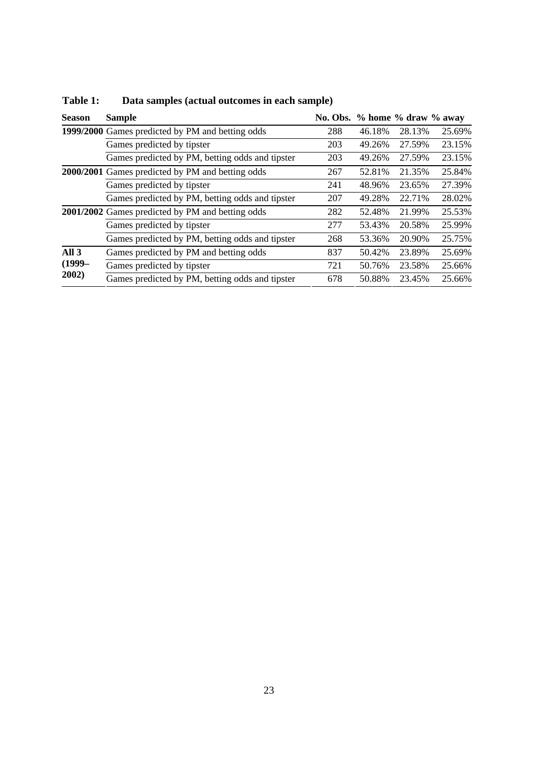| <b>Season</b>    | <b>Sample</b>                                    | No. Obs. % home % draw % away |        |        |        |
|------------------|--------------------------------------------------|-------------------------------|--------|--------|--------|
|                  | 1999/2000 Games predicted by PM and betting odds | 288                           | 46.18% | 28.13% | 25.69% |
|                  | Games predicted by tipster                       | 203                           | 49.26% | 27.59% | 23.15% |
|                  | Games predicted by PM, betting odds and tipster  | 203                           | 49.26% | 27.59% | 23.15% |
|                  | 2000/2001 Games predicted by PM and betting odds | 267                           | 52.81% | 21.35% | 25.84% |
|                  | Games predicted by tipster                       | 241                           | 48.96% | 23.65% | 27.39% |
|                  | Games predicted by PM, betting odds and tipster  | 207                           | 49.28% | 22.71% | 28.02% |
|                  | 2001/2002 Games predicted by PM and betting odds | 282                           | 52.48% | 21.99% | 25.53% |
|                  | Games predicted by tipster                       | 277                           | 53.43% | 20.58% | 25.99% |
|                  | Games predicted by PM, betting odds and tipster  | 268                           | 53.36% | 20.90% | 25.75% |
| All <sub>3</sub> | Games predicted by PM and betting odds           | 837                           | 50.42% | 23.89% | 25.69% |
| $(1999-$         | Games predicted by tipster                       | 721                           | 50.76% | 23.58% | 25.66% |
| 2002)            | Games predicted by PM, betting odds and tipster  | 678                           | 50.88% | 23.45% | 25.66% |

# **Table 1: Data samples (actual outcomes in each sample)**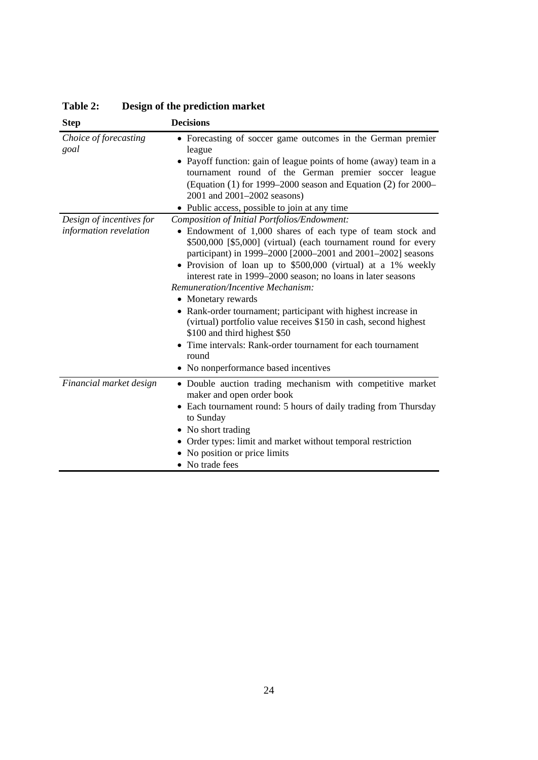| <b>Step</b>                   | <b>Decisions</b>                                                                                                                                                                                                                                                                                                                                                                                                                                      |
|-------------------------------|-------------------------------------------------------------------------------------------------------------------------------------------------------------------------------------------------------------------------------------------------------------------------------------------------------------------------------------------------------------------------------------------------------------------------------------------------------|
| Choice of forecasting<br>goal | • Forecasting of soccer game outcomes in the German premier<br>league<br>• Payoff function: gain of league points of home (away) team in a<br>tournament round of the German premier soccer league<br>(Equation $(1)$ for 1999–2000 season and Equation $(2)$ for 2000–<br>2001 and 2001–2002 seasons)<br>• Public access, possible to join at any time                                                                                               |
| Design of incentives for      | Composition of Initial Portfolios/Endowment:                                                                                                                                                                                                                                                                                                                                                                                                          |
| information revelation        | • Endowment of 1,000 shares of each type of team stock and<br>\$500,000 [\$5,000] (virtual) (each tournament round for every<br>participant) in 1999–2000 [2000–2001 and 2001–2002] seasons<br>Provision of loan up to \$500,000 (virtual) at a 1% weekly<br>interest rate in 1999–2000 season; no loans in later seasons<br>Remuneration/Incentive Mechanism:<br>• Monetary rewards<br>• Rank-order tournament; participant with highest increase in |
|                               | (virtual) portfolio value receives \$150 in cash, second highest                                                                                                                                                                                                                                                                                                                                                                                      |
|                               | \$100 and third highest \$50                                                                                                                                                                                                                                                                                                                                                                                                                          |
|                               | Time intervals: Rank-order tournament for each tournament<br>round                                                                                                                                                                                                                                                                                                                                                                                    |
|                               | • No nonperformance based incentives                                                                                                                                                                                                                                                                                                                                                                                                                  |
| Financial market design       | • Double auction trading mechanism with competitive market<br>maker and open order book<br>Each tournament round: 5 hours of daily trading from Thursday                                                                                                                                                                                                                                                                                              |
|                               | to Sunday                                                                                                                                                                                                                                                                                                                                                                                                                                             |
|                               | • No short trading                                                                                                                                                                                                                                                                                                                                                                                                                                    |
|                               | • Order types: limit and market without temporal restriction                                                                                                                                                                                                                                                                                                                                                                                          |
|                               | No position or price limits<br>• No trade fees                                                                                                                                                                                                                                                                                                                                                                                                        |
|                               |                                                                                                                                                                                                                                                                                                                                                                                                                                                       |

**Table 2: Design of the prediction market**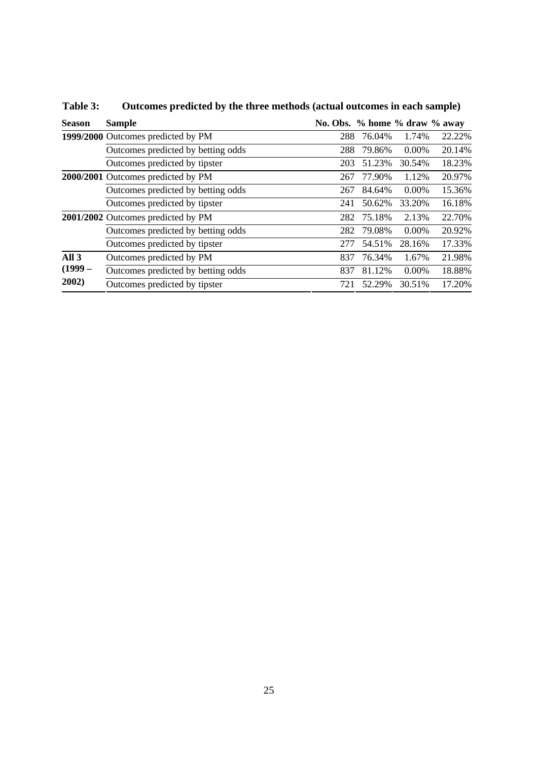| <b>Season</b>    | <b>Sample</b>                      | No. Obs. % home % draw % away |        |          |        |
|------------------|------------------------------------|-------------------------------|--------|----------|--------|
|                  | 1999/2000 Outcomes predicted by PM | 288                           | 76.04% | 1.74%    | 22.22% |
|                  | Outcomes predicted by betting odds | 288                           | 79.86% | $0.00\%$ | 20.14% |
|                  | Outcomes predicted by tipster      | 203                           | 51.23% | 30.54%   | 18.23% |
|                  | 2000/2001 Outcomes predicted by PM | 267                           | 77.90% | 1.12%    | 20.97% |
|                  | Outcomes predicted by betting odds | 267                           | 84.64% | $0.00\%$ | 15.36% |
|                  | Outcomes predicted by tipster      | 241                           | 50.62% | 33.20%   | 16.18% |
|                  | 2001/2002 Outcomes predicted by PM | 282                           | 75.18% | 2.13%    | 22.70% |
|                  | Outcomes predicted by betting odds | 282                           | 79.08% | $0.00\%$ | 20.92% |
|                  | Outcomes predicted by tipster      | 277                           | 54.51% | 28.16%   | 17.33% |
| All <sub>3</sub> | Outcomes predicted by PM           | 837                           | 76.34% | 1.67%    | 21.98% |
| $(1999 -$        | Outcomes predicted by betting odds | 837                           | 81.12% | $0.00\%$ | 18.88% |
| 2002)            | Outcomes predicted by tipster      | 721                           | 52.29% | 30.51%   | 17.20% |

**Table 3: Outcomes predicted by the three methods (actual outcomes in each sample)**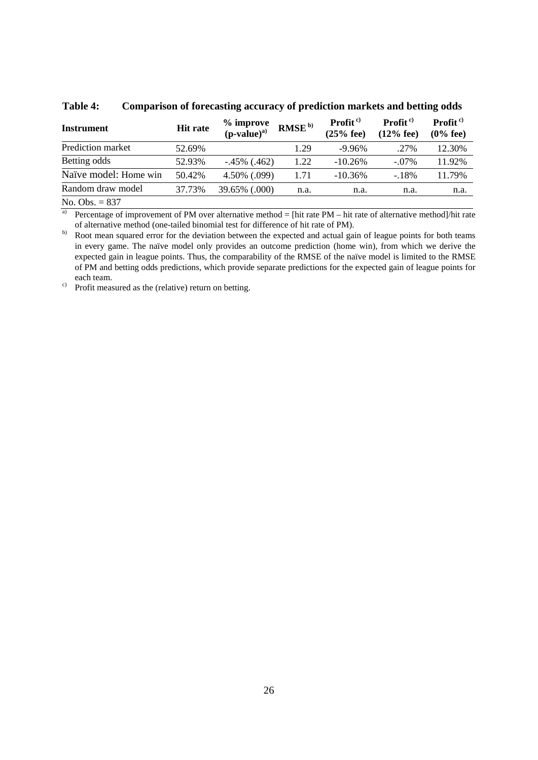| <b>Instrument</b>     | <b>Hit rate</b> | % improve<br>$(p-value)^{a)}$ | RMSE <sup>b)</sup> | Profit <sup>c)</sup><br>$(25%$ fee) | Profit $c$<br>$(12%$ fee) | <b>Profit</b> <sup>c)</sup><br>$(0%$ fee) |
|-----------------------|-----------------|-------------------------------|--------------------|-------------------------------------|---------------------------|-------------------------------------------|
| Prediction market     | 52.69%          |                               | 1.29               | $-9.96\%$                           | .27%                      | 12.30%                                    |
| Betting odds          | 52.93%          | $-.45\%$ (.462)               | 1.22               | $-10.26%$                           | $-.07\%$                  | 11.92%                                    |
| Naïve model: Home win | 50.42%          | 4.50% (.099)                  | 1.71               | $-10.36\%$                          | $-18%$                    | 11.79%                                    |
| Random draw model     | 37.73%          | 39.65% (.000)                 | n.a.               | n.a.                                | n.a.                      | n.a.                                      |
| No. Obs. $= 837$      |                 |                               |                    |                                     |                           |                                           |

**Table 4: Comparison of forecasting accuracy of prediction markets and betting odds** 

<sup>a)</sup> Percentage of improvement of PM over alternative method = [hit rate PM – hit rate of alternative method]/hit rate of alternative method (one-tailed binomial test for difference of hit rate of PM).

b) Root mean squared error for the deviation between the expected and actual gain of league points for both teams in every game. The naïve model only provides an outcome prediction (home win), from which we derive the expected gain in league points. Thus, the comparability of the RMSE of the naïve model is limited to the RMSE of PM and betting odds predictions, which provide separate predictions for the expected gain of league points for each team.

 $c)$  Profit measured as the (relative) return on betting.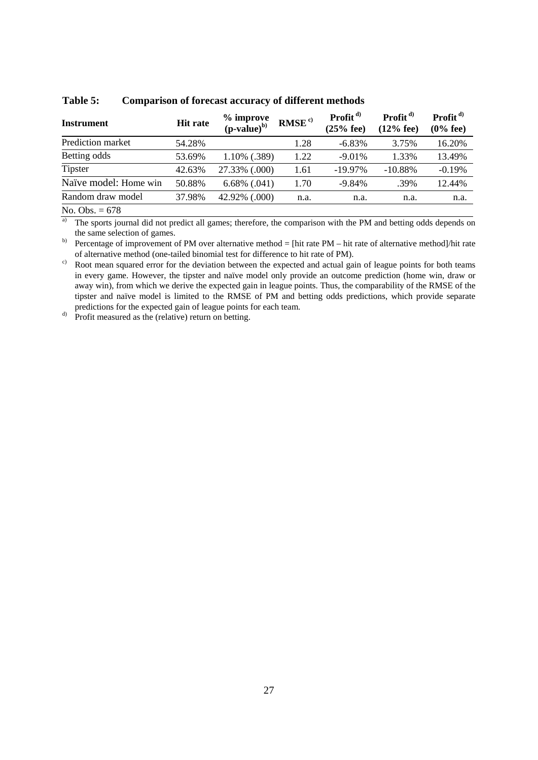| <b>Instrument</b>                   | <b>Hit rate</b> | % improve<br>$(p-value)^{b)}$ | RMSE <sup>c)</sup> | Profit $d$<br>$(25%$ fee) | Profit $d$<br>$(12%$ fee) | Profit $d$<br>$(0\%$ fee) |
|-------------------------------------|-----------------|-------------------------------|--------------------|---------------------------|---------------------------|---------------------------|
| Prediction market                   | 54.28%          |                               | 1.28               | $-6.83\%$                 | 3.75%                     | 16.20%                    |
| Betting odds                        | 53.69%          | 1.10% (.389)                  | 1.22               | $-9.01\%$                 | 1.33%                     | 13.49%                    |
| <b>Tipster</b>                      | 42.63%          | 27.33% (.000)                 | 1.61               | $-19.97\%$                | $-10.88\%$                | $-0.19%$                  |
| Naïve model: Home win               | 50.88%          | $6.68\%$ $(.041)$             | 1.70               | $-9.84%$                  | .39%                      | 12.44%                    |
| Random draw model                   | 37.98%          | 42.92% (.000)                 | n.a.               | n.a.                      | n.a.                      | n.a.                      |
| $\mathbf{v}$ $\mathbf{v}$<br>$\sim$ |                 |                               |                    |                           |                           |                           |

**Table 5: Comparison of forecast accuracy of different methods** 

No. Obs. = 678

<sup>a)</sup> The sports journal did not predict all games; therefore, the comparison with the PM and betting odds depends on the same selection of games.

b) Percentage of improvement of PM over alternative method = [hit rate PM – hit rate of alternative method]/hit rate of alternative method (one-tailed binomial test for difference to hit rate of PM).

 $\degree$  Root mean squared error for the deviation between the expected and actual gain of league points for both teams in every game. However, the tipster and naïve model only provide an outcome prediction (home win, draw or away win), from which we derive the expected gain in league points. Thus, the comparability of the RMSE of the tipster and naïve model is limited to the RMSE of PM and betting odds predictions, which provide separate predictions for the expected gain of league points for each team.

d) Profit measured as the (relative) return on betting.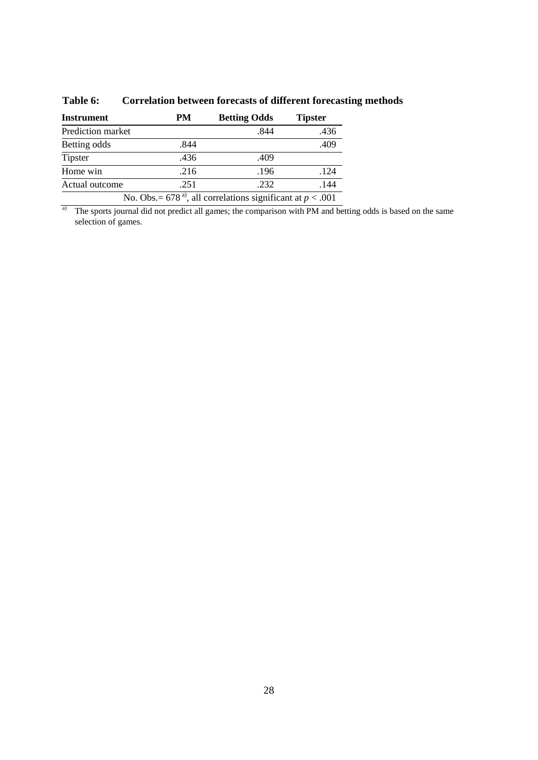| <b>Instrument</b>                                                         | PM   | <b>Betting Odds</b> | <b>Tipster</b> |  |
|---------------------------------------------------------------------------|------|---------------------|----------------|--|
| Prediction market                                                         |      | .844                | .436           |  |
| Betting odds                                                              | .844 |                     | .409           |  |
| Tipster                                                                   | .436 | .409                |                |  |
| Home win                                                                  | .216 | .196                | .124           |  |
| Actual outcome                                                            | .251 | .232                | .144           |  |
| No. Obs. = 678 <sup>a)</sup> , all correlations significant at $p < .001$ |      |                     |                |  |

# **Table 6: Correlation between forecasts of different forecasting methods**

<sup>a)</sup> The sports journal did not predict all games; the comparison with PM and betting odds is based on the same selection of games.